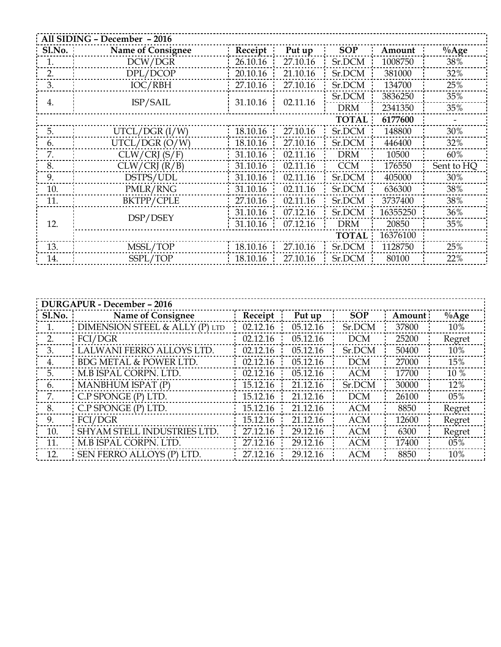| All SIDING - December - 2016 |                          |                         |          |              |          |            |  |  |  |
|------------------------------|--------------------------|-------------------------|----------|--------------|----------|------------|--|--|--|
| S1.No.                       | <b>Name of Consignee</b> | Receipt                 | Put up   | <b>SOP</b>   | Amount   | $\%$ Age   |  |  |  |
| 1.                           | DCW/DGR                  | 26.10.16                | 27.10.16 | Sr.DCM       | 1008750  | 38%        |  |  |  |
| 2.                           | DPL/DCOP                 | 20.10.16                | 21.10.16 | Sr.DCM       | 381000   | 32%        |  |  |  |
| 3.                           | IOC/RBH                  | 27.10.16                | 27.10.16 | Sr.DCM       | 134700   | 25%        |  |  |  |
| 4.                           | ISP/SAIL                 | 31.10.16                | 02.11.16 | Sr.DCM       | 3836250  | 35%        |  |  |  |
|                              |                          |                         |          | <b>DRM</b>   | 2341350  | 35%        |  |  |  |
|                              |                          | <b>TOTAL</b><br>6177600 |          |              |          |            |  |  |  |
| 5.                           | UTCL/DCR (I/W)           | 18.10.16                | 27.10.16 | Sr.DCM       | 148800   | 30%        |  |  |  |
| 6.                           | UTCL/DGR (O/W)           | 18.10.16                | 27.10.16 | Sr.DCM       | 446400   | 32%        |  |  |  |
| 7.                           | CLW/CRI(S/F)             | 31.10.16                | 02.11.16 | <b>DRM</b>   | 10500    | 60%        |  |  |  |
| 8.                           | CLW/CRI (R/B)            | 31.10.16                | 02.11.16 | <b>CCM</b>   | 176550   | Sent to HQ |  |  |  |
| 9.                           | DSTPS/UDL                | 31.10.16                | 02.11.16 | Sr.DCM       | 405000   | 30%        |  |  |  |
| 10.                          | PMLR/RNG                 | 31.10.16                | 02.11.16 | Sr.DCM       | 636300   | 38%        |  |  |  |
| 11.                          | BKTPP/CPLE               | 27.10.16                | 02.11.16 | Sr.DCM       | 3737400  | 38%        |  |  |  |
|                              |                          | 31.10.16                | 07.12.16 | Sr.DCM       | 16355250 | 36%        |  |  |  |
| 12.                          | DSP/DSEY                 | 31.10.16                | 07.12.16 | <b>DRM</b>   | 20850    | 35%        |  |  |  |
|                              |                          |                         |          | <b>TOTAL</b> | 16376100 |            |  |  |  |
| 13.                          | MSSL/TOP                 | 18.10.16                | 27.10.16 | Sr.DCM       | 1128750  | 25%        |  |  |  |
| 14.                          | SSPL/TOP                 | 18.10.16                | 27.10.16 | Sr.DCM       | 80100    | 22%        |  |  |  |

| <b>DURGAPUR - December - 2016</b> |                                    |          |          |            |         |          |  |  |  |  |
|-----------------------------------|------------------------------------|----------|----------|------------|---------|----------|--|--|--|--|
| S1.No.                            | Name of Consignee                  | Receipt  | Put up   | <b>SOP</b> | Amount: | $\%$ Age |  |  |  |  |
|                                   | DIMENSION STEEL & ALLY (P) LTD     | 02.12.16 | 05.12.16 | Sr.DCM     | 37800   | 10%      |  |  |  |  |
| 2.                                | FCI/DCR                            | 02.12.16 | 05.12.16 | <b>DCM</b> | 25200   | Regret   |  |  |  |  |
| 3.                                | LALWANI FERRO ALLOYS LTD.          | 02.12.16 | 05.12.16 | Sr.DCM     | 50400   | 10%      |  |  |  |  |
| 4.                                | <b>BDG METAL &amp; POWER LTD.</b>  | 02.12.16 | 05.12.16 | <b>DCM</b> | 27000   | 15%      |  |  |  |  |
| 5.                                | : M.B ISPAL CORPN. LTD.            | 02.12.16 | 05.12.16 | <b>ACM</b> | 17700   | 10 %     |  |  |  |  |
| 6.                                | MANBHUM ISPAT (P)                  | 15.12.16 | 21.12.16 | Sr.DCM     | 30000   | 12%      |  |  |  |  |
| 7.                                | $C.P$ SPONGE $(P)$ LTD.            | 15.12.16 | 21.12.16 | <b>DCM</b> | 26100   | 05%      |  |  |  |  |
| 8.                                | C.P SPONGE (P) LTD.                | 15.12.16 | 21.12.16 | <b>ACM</b> | 8850    | Regret   |  |  |  |  |
| 9.                                | FCI/DGR                            | 15.12.16 | 21.12.16 | <b>ACM</b> | 12600   | Regret   |  |  |  |  |
| 10.                               | <b>SHYAM STELL INDUSTRIES LTD.</b> | 27.12.16 | 29.12.16 | <b>ACM</b> | 6300    | Regret   |  |  |  |  |
| 11.                               | M.B ISPAL CORPN. LTD.              | 27.12.16 | 29.12.16 | <b>ACM</b> | 17400   | 05%      |  |  |  |  |
| 12.                               | SEN FERRO ALLOYS (P) LTD.          | 27.12.16 | 29.12.16 | <b>ACM</b> | 8850    | 10%      |  |  |  |  |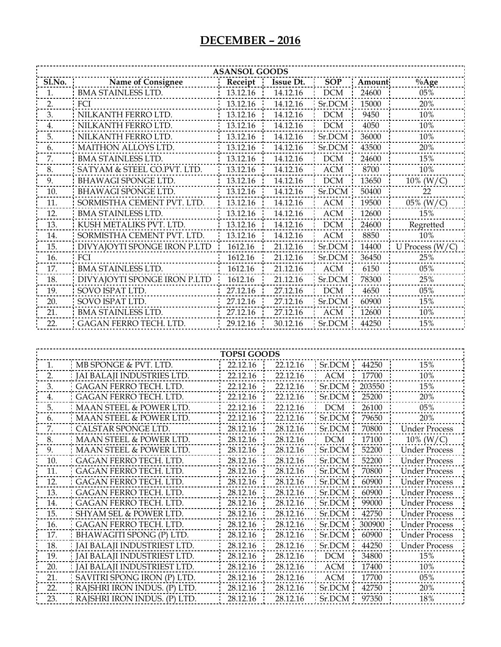| <b>ASANSOL GOODS</b> |                               |                                |                      |            |        |                      |  |  |  |
|----------------------|-------------------------------|--------------------------------|----------------------|------------|--------|----------------------|--|--|--|
| Sl.No.               | <b>Name of Consignee</b>      | Receipt                        | Issue Dt.            | <b>SOP</b> | Amount | $\%$ Age             |  |  |  |
| 1.                   | <b>BMA STAINLESS LTD.</b>     | 13.12.16                       | 14.12.16             | $DCM$      | 24600  | 05%                  |  |  |  |
| 2.                   | FCI                           | 13.12.16                       | 14.12.16             | Sr.DCM     | 15000  | 20%                  |  |  |  |
| 3.                   | NILKANTH FERRO LTD.           | 13.12.16                       | 14.12.16             | <b>DCM</b> | 9450   | 10%                  |  |  |  |
| 4.                   | NILKANTH FERRO LTD.           | 13.12.16                       | 14.12.16             | <b>DCM</b> | 4050   | 10%                  |  |  |  |
| 5.                   | NILKANTH FERRO LTD.           | 13.12.16                       | 14.12.16             | Sr.DCM     | 36000  | 10%                  |  |  |  |
| 6.                   | MAITHON ALLOYS LTD.           | 13.12.16                       | 14.12.16             | Sr.DCM     | 43500  | 20%                  |  |  |  |
| 7.                   | <b>BMA STAINLESS LTD.</b>     | 13.12.16                       | 14.12.16             | <b>DCM</b> | 24600  | 15%                  |  |  |  |
| 8.                   | SATYAM & STEEL CO.PVT. LTD.   | 13.12.16                       | 14.12.16             | <b>ACM</b> | 8700   | 10%                  |  |  |  |
| 9.                   | <b>BHAWAGI SPONGE LTD.</b>    | 13.12.16                       | 14.12.16             | DCM        | 13650  | 10% ( $W/C$ )        |  |  |  |
| 10.                  | <b>BHAWAGI SPONGE LTD.</b>    | 13.12.16                       | 14.12.16             | Sr.DCM     | 50400  | 22                   |  |  |  |
| 11.                  | SORMISTHA CEMENT PVT. LTD.    | 13.12.16                       | 14.12.16             | <b>ACM</b> | 19500  | $05\%$ (W/C)         |  |  |  |
| 12.                  | <b>BMA STAINLESS LTD.</b>     | 13.12.16                       | 14.12.16             | <b>ACM</b> | 12600  | 15%                  |  |  |  |
| 13.                  | KUSH METALIKS PVT. LTD.       | 13.12.16                       | 14.12.16             | <b>DCM</b> | 24600  | Regretted            |  |  |  |
| 14.                  | SORMISTHA CEMENT PVT. LTD.    | 13.12.16                       | 14.12.16             | <b>ACM</b> | 8850   | 10%                  |  |  |  |
| 15.                  | DIVYAJOYTI SPONGE IRON P.LTD  | 1612.16                        | 21.12.16             | Sr.DCM     | 14400  | U Process $(W/C)$    |  |  |  |
| 16.                  | FCI                           | 1612.16                        | 21.12.16             | Sr.DCM     | 36450  | 25%                  |  |  |  |
| 17.                  | <b>BMA STAINLESS LTD.</b>     | 1612.16                        | 21.12.16             | <b>ACM</b> | 6150   | 05%                  |  |  |  |
| 18.                  | DIVYAJOYTI SPONGE IRON P.LTD  | 1612.16                        | 21.12.16             | Sr.DCM     | 78300  | 25%                  |  |  |  |
| 19.                  | SOVO ISPAT LTD.               | 27.12.16                       | 27.12.16             | <b>DCM</b> | 4650   | 05%                  |  |  |  |
| 20.                  | SOVO ISPAT LTD.               | 27.12.16                       | 27.12.16             | Sr.DCM     | 60900  | 15%                  |  |  |  |
| 21.                  | <b>BMA STAINLESS LTD.</b>     | 27.12.16                       | 27.12.16             | <b>ACM</b> | 12600  | 10%                  |  |  |  |
| 22.                  | GAGAN FERRO TECH. LTD.        | 29.12.16                       | 30.12.16             | Sr.DCM     | 44250  | 15%                  |  |  |  |
|                      | MB SPONGE & PVT. LTD.         | <b>TOPSI GOODS</b><br>22.12.16 |                      | Sr.DCM     | 44250  | 15%                  |  |  |  |
| 1.<br>2.             | JAI BALAJI INDUSTRIES LTD.    | 22.12.16                       | 22.12.16<br>22.12.16 | <b>ACM</b> | 17700  | 10%                  |  |  |  |
| 3.                   | GAGAN FERRO TECH. LTD.        | 22.12.16                       | 22.12.16             | Sr.DCM     | 203550 | 15%                  |  |  |  |
| 4.                   | <b>GAGAN FERRO TECH. LTD.</b> | 22.12.16                       | 22.12.16             | Sr.DCM     | 25200  | 20%                  |  |  |  |
| 5.                   | MAAN STEEL & POWER LTD.       | 22.12.16                       | 22.12.16             | <b>DCM</b> | 26100  | 05%                  |  |  |  |
| 6.                   | MAAN STEEL & POWER LTD.       | 22.12.16                       | 22.12.16             | Sr.DCM     | 79650  | 20%                  |  |  |  |
| 7.                   | CALSTAR SPONGE LTD            | 28.12.16                       | 28.12.16             | Sr.DCM     | 70800  | Under Process        |  |  |  |
| 8.                   | MAAN STEEL & POWER LTD.       | 28.12.16                       | 28.12.16             | <b>DCM</b> | 17100  | $10\%$ (W/C)         |  |  |  |
| 9.                   | MAAN STEEL & POWER LTD.       | 28.12.16                       | 28.12.16             | Sr.DCM     | 52200  | <b>Under Process</b> |  |  |  |
| 10.                  | <b>GAGAN FERRO TECH. LTD.</b> | 28.12.16                       | 28.12.16             | Sr.DCM     | 52200  | <b>Under Process</b> |  |  |  |
| 11.                  | GAGAN FERRO TECH. LTD.        | 28.12.16                       | 28.12.16             | Sr.DCM     | 70800  | <b>Under Process</b> |  |  |  |
| 12.                  | GAGAN FERRO TECH. LTD.        | 28.12.16                       | 28.12.16             | Sr.DCM     | 60900  | <b>Under Process</b> |  |  |  |
| 13.                  | GAGAN FERRO TECH. LTD.        | 28.12.16                       | 28.12.16             | Sr.DCM     | 60900  | <b>Under Process</b> |  |  |  |
| 14.                  | GAGAN FERRO TECH. LTD.        | 28.12.16                       | 28.12.16             | Sr.DCM     | 99000  | <b>Under Process</b> |  |  |  |
| 15.                  | SHYAM SEL & POWER LTD.        | 28.12.16                       | 28.12.16             | Sr.DCM     | 42750  | <b>Under Process</b> |  |  |  |
| 16.                  | GAGAN FERRO TECH. LTD.        | 28.12.16                       | 28.12.16             | Sr.DCM     | 300900 | <b>Under Process</b> |  |  |  |
| 17.                  | BHAWAGITI SPONG (P) LTD.      | 28.12.16                       | 28.12.16             | Sr.DCM     | 60900  | <b>Under Process</b> |  |  |  |
| 18.                  | JAI BALAJI INDUSTRIEST LTD.   | 28.12.16                       | 28.12.16             | Sr.DCM     | 44250  | <b>Under Process</b> |  |  |  |
| 19.                  | JAI BALAJI INDUSTRIEST LTD.   | 28.12.16                       | 28.12.16             | <b>DCM</b> | 34800  | 15%                  |  |  |  |
| 20.                  | JAI BALAJI INDUSTRIEST LTD.   | 28.12.16                       | 28.12.16             | <b>ACM</b> | 17400  | 10%                  |  |  |  |
| 21.                  | SAVITRI SPONG IRON (P) LTD.   | 28.12.16                       | 28.12.16             | ACM        | 17700  | 05%                  |  |  |  |
| 22.                  | RAJSHRI IRON INDUS. (P) LTD.  | 28.12.16                       | 28.12.16             | Sr.DCM     | 42750  | 20%                  |  |  |  |
| 23.                  | RAJSHRI IRON INDUS. (P) LTD.  | 28.12.16                       | 28.12.16             | Sr.DCM     | 97350  | 18%                  |  |  |  |